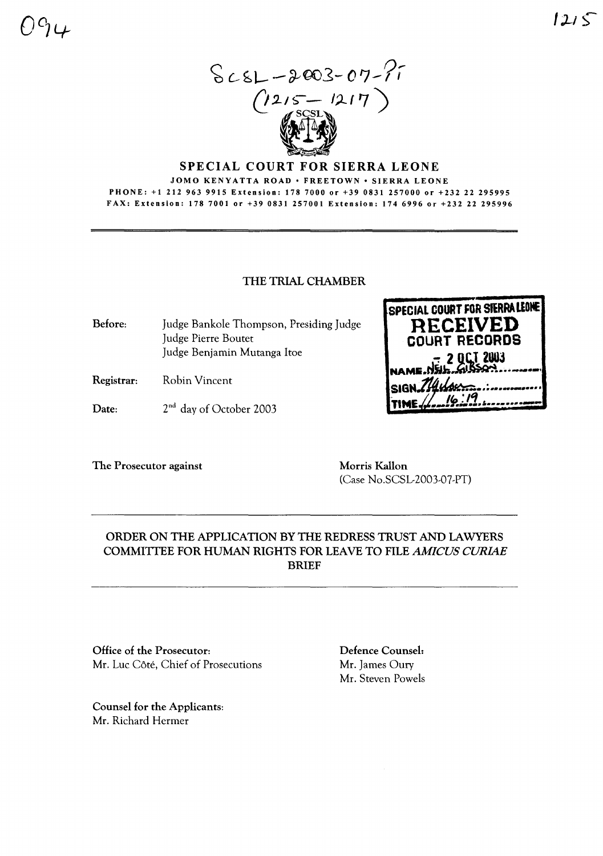

#### SPECIAL COURT FOR SIERRA LEONE

JOMO KENYATTA ROAD • FREETOWN • SIERRA LEONE PHONE: +1 212 963 9915 Extension: 178 7000 or +39 0831 257000 or +232 22 295995 FAX: Extension: 1787001 or +39 0831257001 Extension: 1746996 or +232 22 295996

### THE TRIAL CHAMBER

Before: Judge Bankole Thompson, Presiding Judge Judge Pierre Boutet Judge Benjamin Mutanga Itoe

- Registrar: Robin Vincent
- Date: 2<sup>nd</sup> day of October 2003

The Prosecutor against Morris Kallon

**SPECIAL COURT FOR STERRA LEONE RECEIVED COURT RECDRDS <sup>2</sup> OC-T <sup>2003</sup>** NAMS.N~.h:..Mt~ •••\_\_·\_· **SIG** •.;•••••\_ ••••. . II", •**1'1 'tt4E** .... ..... ••.\_........

(Case No.SCSL-2003-07-PT)

# ORDER ON THE APPLICATION BY THE REDRESS TRUST AND LAWYERS COMMITrEE FOR HUMAN RIGHTS FOR LEAVE TO FILE *AMICUS CURIAE* BRIEF

Office of the Prosecutor: Mr. Luc Côté, Chief of Prosecutions

Counsel for the Applicants: Mr. Richard Hermer

Defence Counsel: Mr. James Oury Mr. Steven Powels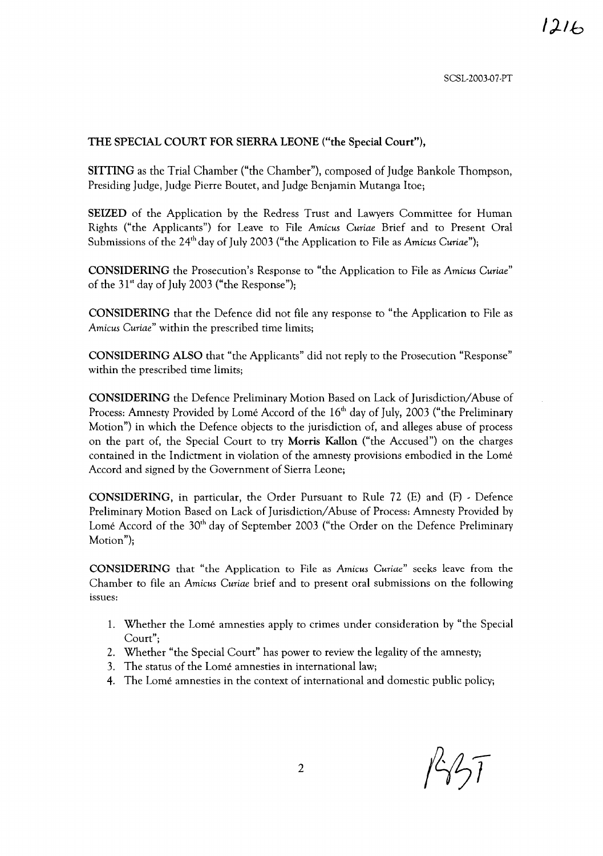#### THE SPECIAL COURT FOR SIERRA LEONE ("the Special Court"),

SITTING as the Trial Chamber ("the Chamber"), composed of Judge Bankole Thompson, Presiding Judge, Judge Pierre Boutet, and Judge Benjamin Mutanga Itoe;

SEIZED of the Application by the Redress Trust and Lawyers Committee for Human Rights ("the Applicants") for Leave to File *Amicus Curiae* Brief and to Present Oral Submissions of the 24<sup>th</sup> day of July 2003 ("the Application to File as *Amicus Curiae")*;

CONSIDERING the Prosecution's Response to "the Application to File as *Amicus Curiae"* of the  $31^{st}$  day of July 2003 ("the Response");

CONSIDERING that the Defence did not file any response to "the Application to File as *Amicus Curiae"* within the prescribed time limits;

CONSIDERING ALSO that "the Applicants" did not reply to the Prosecution "Response" within the prescribed time limits;

CONSIDERING the Defence Preliminary Motion Based on Lack of Jurisdiction/Abuse of Process: Amnesty Provided by Lome Accord of the 16<sup>th</sup> day of July, 2003 ("the Preliminary Motion") in which the Defence objects to the jurisdiction of, and alleges abuse of process on the part of, the Special Court to try Morris Kallon ("the Accused") on the charges contained in the Indictment in violation of the amnesty provisions embodied in the Lome Accord and signed by the Government of Sierra Leone;

CONSIDERING, in particular, the Order Pursuant to Rule 72 (E) and (F) - Defence Preliminary Motion Based on Lack of Jurisdiction/Abuse of Process: Amnesty Provided by Lome Accord of the 30<sup>th</sup> day of September 2003 ("the Order on the Defence Preliminary Motion");

CONSIDERING that "the Application to File as *Amicus Curiae"* seeks leave from the Chamber to file an *Amicus Curiae* brief and to present oral submissions on the following issues:

- 1. Whether the Lome amnesties apply to crimes under consideration by "the Special Court";
- 2. Whether "the Special Court" has power to review the legality of the amnesty;
- 3. The status of the Lome amnesties in international law;
- 4. The Lome amnesties in the context of international and domestic public policy;

 $1437$